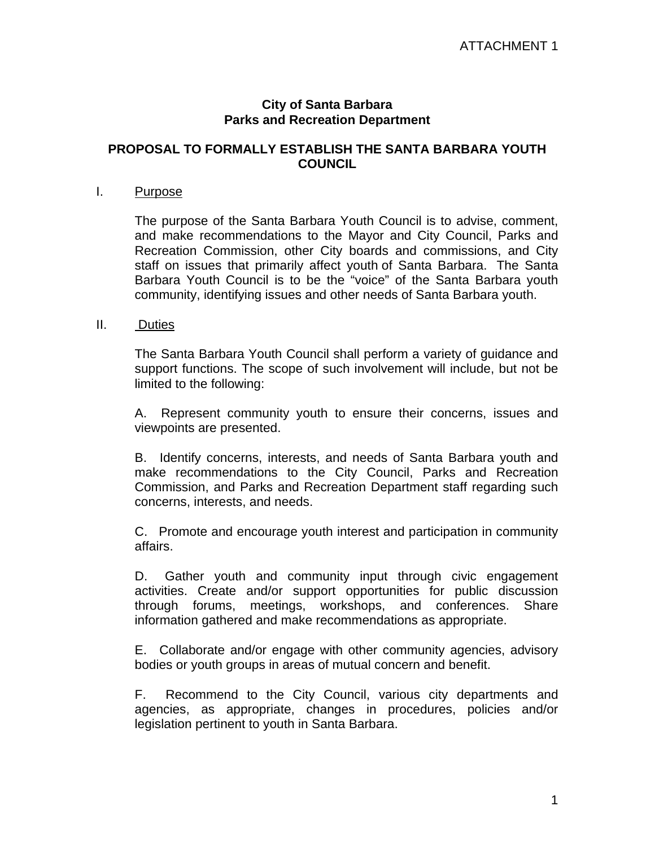#### **City of Santa Barbara Parks and Recreation Department**

### **PROPOSAL TO FORMALLY ESTABLISH THE SANTA BARBARA YOUTH COUNCIL**

#### I. Purpose

The purpose of the Santa Barbara Youth Council is to advise, comment, and make recommendations to the Mayor and City Council, Parks and Recreation Commission, other City boards and commissions, and City staff on issues that primarily affect youth of Santa Barbara. The Santa Barbara Youth Council is to be the "voice" of the Santa Barbara youth community, identifying issues and other needs of Santa Barbara youth.

#### II. Duties

The Santa Barbara Youth Council shall perform a variety of guidance and support functions. The scope of such involvement will include, but not be limited to the following:

A. Represent community youth to ensure their concerns, issues and viewpoints are presented.

B. Identify concerns, interests, and needs of Santa Barbara youth and make recommendations to the City Council, Parks and Recreation Commission, and Parks and Recreation Department staff regarding such concerns, interests, and needs.

C. Promote and encourage youth interest and participation in community affairs.

D. Gather youth and community input through civic engagement activities. Create and/or support opportunities for public discussion through forums, meetings, workshops, and conferences. Share information gathered and make recommendations as appropriate.

E. Collaborate and/or engage with other community agencies, advisory bodies or youth groups in areas of mutual concern and benefit.

F. Recommend to the City Council, various city departments and agencies, as appropriate, changes in procedures, policies and/or legislation pertinent to youth in Santa Barbara.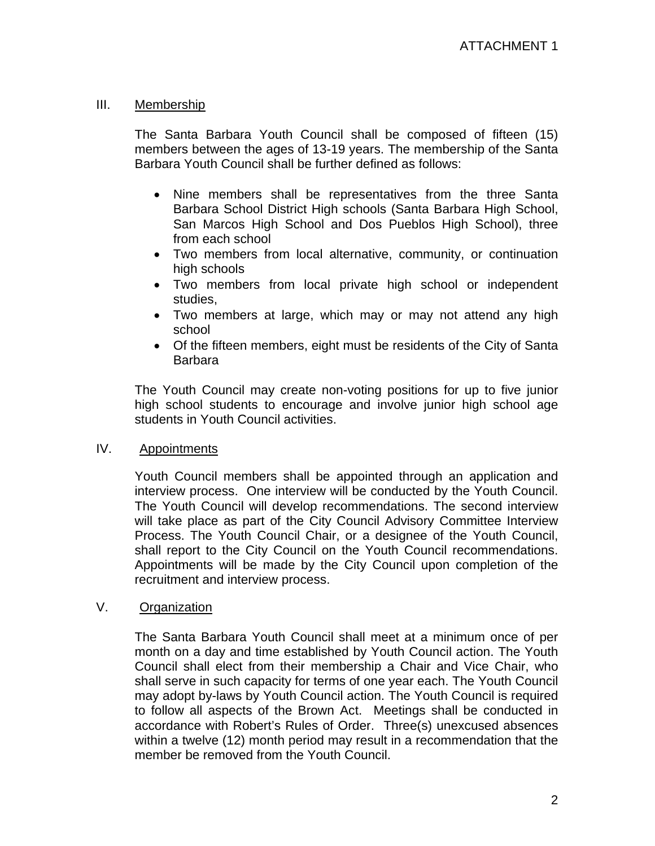## III. Membership

The Santa Barbara Youth Council shall be composed of fifteen (15) members between the ages of 13-19 years. The membership of the Santa Barbara Youth Council shall be further defined as follows:

- Nine members shall be representatives from the three Santa Barbara School District High schools (Santa Barbara High School, San Marcos High School and Dos Pueblos High School), three from each school
- Two members from local alternative, community, or continuation high schools
- Two members from local private high school or independent studies,
- Two members at large, which may or may not attend any high school
- Of the fifteen members, eight must be residents of the City of Santa Barbara

The Youth Council may create non-voting positions for up to five junior high school students to encourage and involve junior high school age students in Youth Council activities.

### IV. Appointments

Youth Council members shall be appointed through an application and interview process. One interview will be conducted by the Youth Council. The Youth Council will develop recommendations. The second interview will take place as part of the City Council Advisory Committee Interview Process. The Youth Council Chair, or a designee of the Youth Council, shall report to the City Council on the Youth Council recommendations. Appointments will be made by the City Council upon completion of the recruitment and interview process.

# V. Organization

The Santa Barbara Youth Council shall meet at a minimum once of per month on a day and time established by Youth Council action. The Youth Council shall elect from their membership a Chair and Vice Chair, who shall serve in such capacity for terms of one year each. The Youth Council may adopt by-laws by Youth Council action. The Youth Council is required to follow all aspects of the Brown Act. Meetings shall be conducted in accordance with Robert's Rules of Order. Three(s) unexcused absences within a twelve (12) month period may result in a recommendation that the member be removed from the Youth Council.